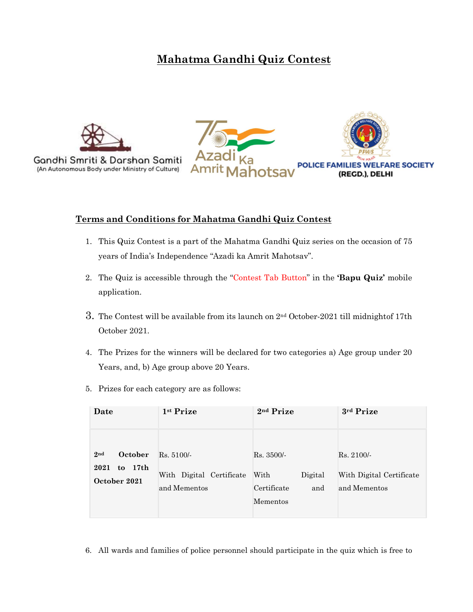# Mahatma Gandhi Quiz Contest



Gandhi Smriti & Darshan Samiti (An Autonomous Body under Ministry of Culture)



### Terms and Conditions for Mahatma Gandhi Quiz Contest

- 1. This Quiz Contest is a part of the Mahatma Gandhi Quiz series on the occasion of 75 years of India's Independence "Azadi ka Amrit Mahotsav".
- 2. The Quiz is accessible through the "Contest Tab Button" in the 'Bapu Quiz' mobile application.
- 3. The Contest will be available from its launch on  $2<sup>nd</sup>$  October-2021 till midnight of 17th October 2021.
- 4. The Prizes for the winners will be declared for two categories a) Age group under 20 Years, and, b) Age group above 20 Years.
- 5. Prizes for each category are as follows:

| Date                                                          | 1st Prize                                                | 2 <sup>nd</sup> Prize                                             | 3rd Prize                                                |
|---------------------------------------------------------------|----------------------------------------------------------|-------------------------------------------------------------------|----------------------------------------------------------|
| October<br>2 <sub>nd</sub><br>to 17th<br>2021<br>October 2021 | $Rs. 5100/-$<br>With Digital Certificate<br>and Mementos | $Rs. 3500/-$<br>With<br>Digital<br>Certificate<br>and<br>Mementos | $Rs. 2100/-$<br>With Digital Certificate<br>and Mementos |

6. All wards and families of police personnel should participate in the quiz which is free to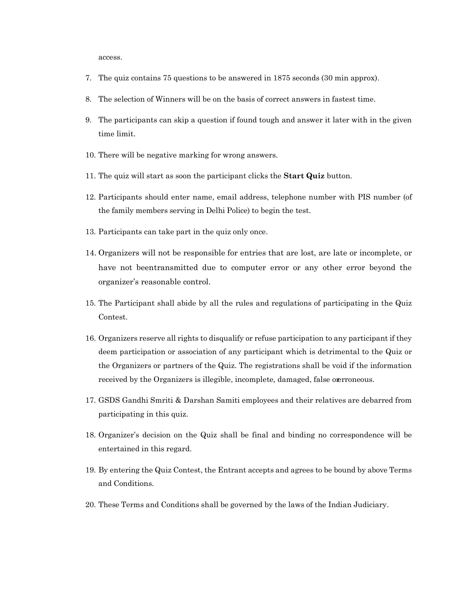access.

- 7. The quiz contains 75 questions to be answered in 1875 seconds (30 min approx).
- 8. The selection of Winners will be on the basis of correct answers in fastest time.
- 9. The participants can skip a question if found tough and answer it later with in the given time limit.
- 10. There will be negative marking for wrong answers.
- 11. The quiz will start as soon the participant clicks the Start Quiz button.
- 12. Participants should enter name, email address, telephone number with PIS number (of the family members serving in Delhi Police) to begin the test.
- 13. Participants can take part in the quiz only once.
- 14. Organizers will not be responsible for entries that are lost, are late or incomplete, or have not beentransmitted due to computer error or any other error beyond the organizer's reasonable control.
- 15. The Participant shall abide by all the rules and regulations of participating in the Quiz Contest.
- 16. Organizers reserve all rights to disqualify or refuse participation to any participant if they deem participation or association of any participant which is detrimental to the Quiz or the Organizers or partners of the Quiz. The registrations shall be void if the information received by the Organizers is illegible, incomplete, damaged, false overroneous.
- 17. GSDS Gandhi Smriti & Darshan Samiti employees and their relatives are debarred from participating in this quiz.
- 18. Organizer's decision on the Quiz shall be final and binding no correspondence will be entertained in this regard.
- 19. By entering the Quiz Contest, the Entrant accepts and agrees to be bound by above Terms and Conditions.
- 20. These Terms and Conditions shall be governed by the laws of the Indian Judiciary.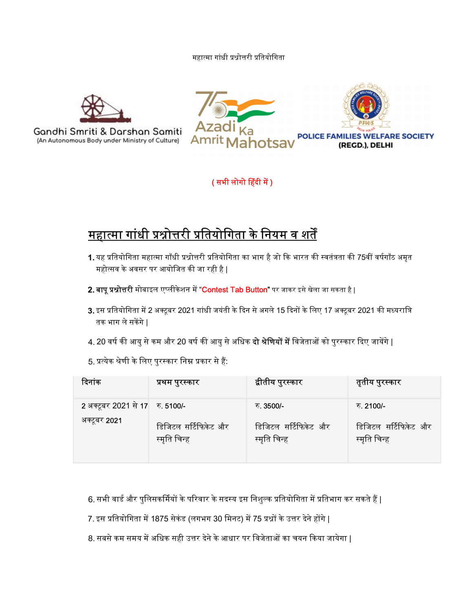#### महात्मा गांधी प्रश्नोत्तरी प्रतियोगिता







## ( सभी लोगो हिंदी में )

- 1. यह प्रतियोगिता महात्मा गाँधी प्रश्नोत्तरी प्रतियोगिता का भाग है जो कि भारत की स्वतंत्रता की 75वीं वर्षगाँठ अमृत
- 
- 3. इस प्रतियोगिता में 2 अक्टूबर 2021 गांधी जयंती के दिन से अगले 15 दिनों के लिए 17 अक्टूबर 2021 की मध्यरात्रि<br>तक भाग ले सकेंगे |<br>4. 20 वर्ष की आयु से कम और 20 वर्ष की आयु से अधिक **दो श्रेणियों में** विजेताओं को पुरस्कार दि
- 
- 

|                                                 | ( सभी लोगो हिंदी में )                                                              |                                                                                                                                                                                     |                                                    |
|-------------------------------------------------|-------------------------------------------------------------------------------------|-------------------------------------------------------------------------------------------------------------------------------------------------------------------------------------|----------------------------------------------------|
|                                                 | <u>महात्मा गांधी प्रश्नोत्तरी प्रतियोगिता के नियम व शर्तें</u>                      |                                                                                                                                                                                     |                                                    |
|                                                 | महोत्सव के अवसर पर आयोजित की जा रही है                                              | 1. यह प्रतियोगिता महात्मा गाँधी प्रश्नोत्तरी प्रतियोगिता का भाग है जो कि भारत की स्वतंत्रता की 75वीं वर्षगाँठ अमृत                                                                  |                                                    |
|                                                 |                                                                                     | 2. बापू प्रश्नोत्तरी मोबाइल एप्लीकेशन में "Contest Tab Button" पर जाकर इसे खेला जा सकता है                                                                                          |                                                    |
| तक भाग ले सकेंगे                                |                                                                                     | 3. इस प्रतियोगिता में 2 अक्टूबर 2021 गांधी जयंती के दिन से अगले 15 दिनों के लिए 17 अक्टूबर 2021 की मध्यरात्रि                                                                       |                                                    |
|                                                 |                                                                                     | 4. 20 वर्ष की आयु से कम और 20 वर्ष की आयु से अधिक <b>दो श्रेणियों में</b> विजेताओं को पुरस्कार दिए जायेंगे                                                                          |                                                    |
|                                                 | 5. प्रत्येक श्रेणी के लिए पुरस्कार निम्न प्रकार से हैं:                             |                                                                                                                                                                                     |                                                    |
| दिनांक                                          | प्रथम पुरस्कार                                                                      | द्वीतीय पुरस्कार                                                                                                                                                                    | तृतीय पुरस्कार                                     |
| 2 अक्टूबर 2021 से 17 रु. 5100/-<br>अक्टूबर 2021 | डिजिटल सर्टिफिकेट और<br>स्मृति चिन्ह                                                | रु. 3500/-<br>डिजिटल सर्टिफिकेट और<br>स्मृति चिन्ह                                                                                                                                  | रु. 2100/-<br>डिजिटल सर्टिफिकेट और<br>स्मृति चिन्ह |
|                                                 | 7. इस प्रतियोगिता में 1875 सेकंड (लगभग 30 मिनट) में 75 प्रश्नों के उत्तर देने होंगे | 6. सभी वार्ड और पुलिसकर्मियों के परिवार के सदस्य इस निशुल्क प्रतियोगिता में प्रतिभाग कर सकते हैं  <br>8. सबसे कम समय में अधिक सही उत्तर देने के आधार पर विजेताओं का चयन किया जायेगा |                                                    |

- 
- 
- 8. सबसे कम समय में अधिक सही उत्तर देने के आधार पर विजेताओं का चयन किया जायेगा |